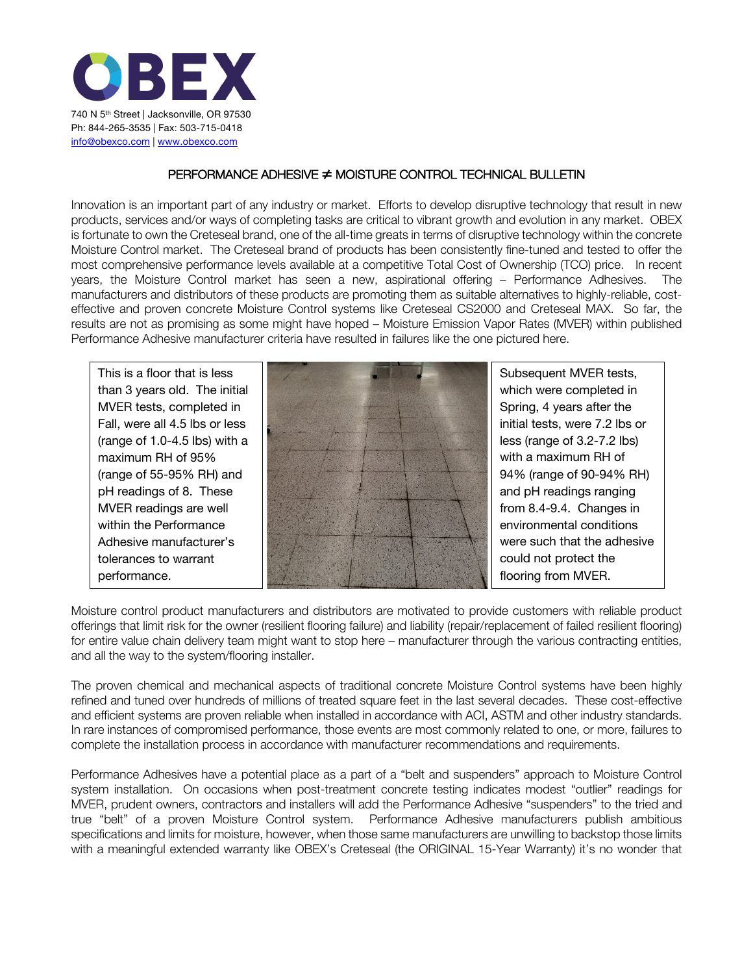

## PERFORMANCE ADHESIVE ≠ MOISTURE CONTROL TECHNICAL BULLETIN

Innovation is an important part of any industry or market. Efforts to develop disruptive technology that result in new products, services and/or ways of completing tasks are critical to vibrant growth and evolution in any market. OBEX is fortunate to own the Creteseal brand, one of the all-time greats in terms of disruptive technology within the concrete Moisture Control market. The Creteseal brand of products has been consistently fine-tuned and tested to offer the most comprehensive performance levels available at a competitive Total Cost of Ownership (TCO) price. In recent years, the Moisture Control market has seen a new, aspirational offering – Performance Adhesives. The manufacturers and distributors of these products are promoting them as suitable alternatives to highly-reliable, costeffective and proven concrete Moisture Control systems like Creteseal CS2000 and Creteseal MAX. So far, the results are not as promising as some might have hoped – Moisture Emission Vapor Rates (MVER) within published Performance Adhesive manufacturer criteria have resulted in failures like the one pictured here.

This is a floor that is less than 3 years old. The initial MVER tests, completed in Fall, were all 4.5 lbs or less (range of 1.0-4.5 lbs) with a maximum RH of 95% (range of 55-95% RH) and pH readings of 8. These MVER readings are well within the Performance Adhesive manufacturer's tolerances to warrant performance.



Subsequent MVER tests, which were completed in Spring, 4 years after the initial tests, were 7.2 lbs or less (range of 3.2-7.2 lbs) with a maximum RH of 94% (range of 90-94% RH) and pH readings ranging from 8.4-9.4. Changes in environmental conditions were such that the adhesive could not protect the flooring from MVER.

Moisture control product manufacturers and distributors are motivated to provide customers with reliable product offerings that limit risk for the owner (resilient flooring failure) and liability (repair/replacement of failed resilient flooring) for entire value chain delivery team might want to stop here – manufacturer through the various contracting entities, and all the way to the system/flooring installer.

The proven chemical and mechanical aspects of traditional concrete Moisture Control systems have been highly refined and tuned over hundreds of millions of treated square feet in the last several decades. These cost-effective and efficient systems are proven reliable when installed in accordance with ACI, ASTM and other industry standards. In rare instances of compromised performance, those events are most commonly related to one, or more, failures to complete the installation process in accordance with manufacturer recommendations and requirements.

Performance Adhesives have a potential place as a part of a "belt and suspenders" approach to Moisture Control system installation. On occasions when post-treatment concrete testing indicates modest "outlier" readings for MVER, prudent owners, contractors and installers will add the Performance Adhesive "suspenders" to the tried and true "belt" of a proven Moisture Control system. Performance Adhesive manufacturers publish ambitious specifications and limits for moisture, however, when those same manufacturers are unwilling to backstop those limits with a meaningful extended warranty like OBEX's Creteseal (the ORIGINAL 15-Year Warranty) it's no wonder that